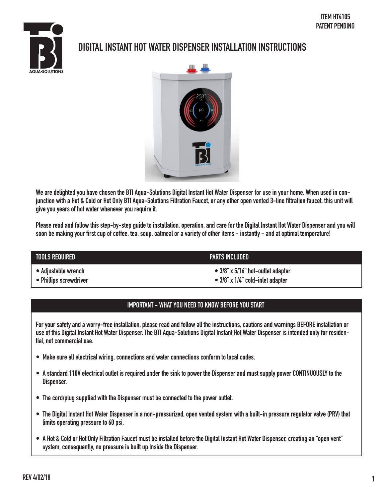

# **DIGITAL INSTANT HOT WATER DISPENSER INSTALLATION INSTRUCTIONS**



**We are delighted you have chosen the BTI Aqua-Solutions Digital Instant Hot Water Dispenser for use in your home. When used in conjunction with a Hot & Cold or Hot Only BTI Aqua-Solutions Filtration Faucet, or any other open vented 3-line filtration faucet, this unit will give you years of hot water whenever you require it.** 

**Please read and follow this step-by-step guide to installation, operation, and care for the Digital Instant Hot Water Dispenser and you will soon be making your first cup of coffee, tea, soup, oatmeal or a variety of other items - instantly - and at optimal temperature!**

| TOOLS REQUIRED         | <b>PARTS INCLUDED</b>                     |  |  |
|------------------------|-------------------------------------------|--|--|
| • Adjustable wrench    | $\bullet$ 3/8" x 5/16" hot-outlet adapter |  |  |
| • Phillips screwdriver | $\bullet$ 3/8" x 1/4" cold-inlet adapter  |  |  |

#### **IMPORTANT - WHAT YOU NEED TO KNOW BEFORE YOU START**

**For your safety and a worry-free installation, please read and follow all the instructions, cautions and warnings BEFORE installation or use of this Digital Instant Hot Water Dispenser. The BTI Aqua-Solutions Digital Instant Hot Water Dispenser is intended only for residential, not commercial use.** 

- **Make sure all electrical wiring, connections and water connections conform to local codes. •**
- **A standard 110V electrical outlet is required under the sink to power the Dispenser and must supply power CONTINUOUSLY to the • Dispenser.**
- **The cord/plug supplied with the Dispenser must be connected to the power outlet. •**
- **The Digital Instant Hot Water Dispenser is a non-pressurized, open vented system with a built-in pressure regulator valve (PRV) that • limits operating pressure to 60 psi.**
- **A Hot & Cold or Hot Only Filtration Faucet must be installed before the Digital Instant Hot Water Dispenser, creating an "open vent" • system, consequently, no pressure is built up inside the Dispenser.**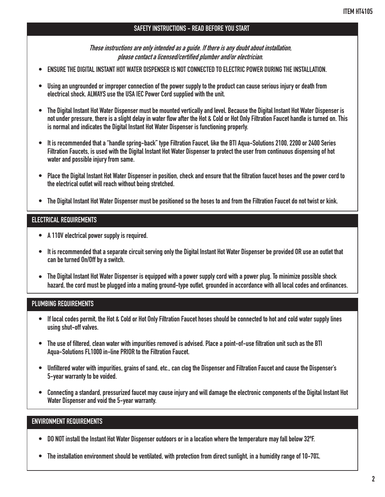### **SAFETY INSTRUCTIONS - READ BEFORE YOU START**

**These instructions are only intended as a guide. If there is any doubt about installation, please contact a licensed/certified plumber and/or electrician.**

- **• ENSURE THE DIGITAL INSTANT HOT WATER DISPENSER IS NOT CONNECTED TO ELECTRIC POWER DURING THE INSTALLATION.**
- **• Using an ungrounded or improper connection of the power supply to the product can cause serious injury or death from electrical shock. ALWAYS use the USA IEC Power Cord supplied with the unit.**
- **• The Digital Instant Hot Water Dispenser must be mounted vertically and level. Because the Digital Instant Hot Water Dispenser is not under pressure, there is a slight delay in water flow after the Hot & Cold or Hot Only Filtration Faucet handle is turned on. This is normal and indicates the Digital Instant Hot Water Dispenser is functioning properly.**
- **• It is recommended that a "handle spring-back" type Filtration Faucet, like the BTI Aqua-Solutions 2100, 2200 or 2400 Series Filtration Faucets, is used with the Digital Instant Hot Water Dispenser to protect the user from continuous dispensing of hot water and possible injury from same.**
- **• Place the Digital Instant Hot Water Dispenser in position, check and ensure that the filtration faucet hoses and the power cord to the electrical outlet will reach without being stretched.**
- **• The Digital Instant Hot Water Dispenser must be positioned so the hoses to and from the Filtration Faucet do not twist or kink.**

#### **ELECTRICAL REQUIREMENTS**

- **• A 110V electrical power supply is required.**
- **• It is recommended that a separate circuit serving only the Digital Instant Hot Water Dispenser be provided OR use an outlet that can be turned On/Off by a switch.**
- **• The Digital Instant Hot Water Dispenser is equipped with a power supply cord with a power plug. To minimize possible shock hazard, the cord must be plugged into a mating ground-type outlet, grounded in accordance with all local codes and ordinances.**

#### **PLUMBING REQUIREMENTS**

- **• If local codes permit, the Hot & Cold or Hot Only Filtration Faucet hoses should be connected to hot and cold water supply lines using shut-off valves.**
- **• The use of filtered, clean water with impurities removed is advised. Place a point-of-use filtration unit such as the BTI Aqua-Solutions FL1000 in-line PRIOR to the Filtration Faucet.**
- **• Unfiltered water with impurities, grains of sand, etc., can clog the Dispenser and Filtration Faucet and cause the Dispenser's 5-year warranty to be voided.**
- **• Connecting a standard, pressurized faucet may cause injury and will damage the electronic components of the Digital Instant Hot Water Dispenser and void the 5-year warranty.**

#### **ENVIRONMENT REQUIREMENTS**

- **• DO NOT install the Instant Hot Water Dispenser outdoors or in a location where the temperature may fall below 32ºF.**
- **• The installation environment should be ventilated, with protection from direct sunlight, in a humidity range of 10-70%.**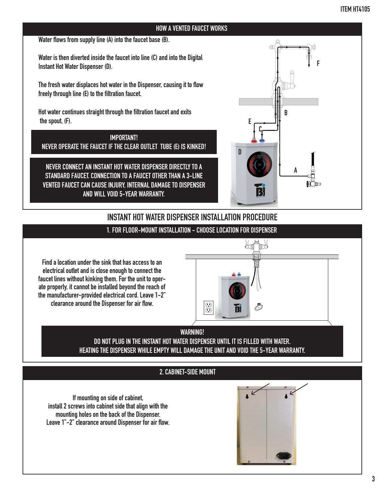#### **Water flows from supply line (A) into the faucet base (B).**

**Water is then diverted inside the faucet into line (C) and into the Digital Instant Hot Water Dispenser (D).**

**The fresh water displaces hot water in the Dispenser, causing it to flow freely through line (E) to the filtration faucet.**

**Hot water continues straight through the filtration faucet and exits the spout, (F).**

**IMPORTANT! NEVER OPERATE THE FAUCET IF THE CLEAR OUTLET TUBE (E) IS KINKED!**

**NEVER CONNECT AN INSTANT HOT WATER DISPENSER DIRECTLY TO A STANDARD FAUCET. CONNECTION TO A FAUCET OTHER THAN A 3-LINE VENTED FAUCET CAN CAUSE INJURY, INTERNAL DAMAGE TO DISPENSER AND WILL VOID 5-YEAR WARRANTY.**



# **1. FOR FLOOR-MOUNT INSTALLATION - CHOOSE LOCATION FOR DISPENSER INSTANT HOT WATER DISPENSER INSTALLATION PROCEDURE**

**Find a location under the sink that has access to an electrical outlet and is close enough to connect the faucet lines without kinking them. For the unit to operate properly, it cannot be installed beyond the reach of the manufacturer-provided electrical cord. Leave 1-2" clearance around the Dispenser for air flow.**

# 光情形 E Ō

**HOT TANK UNIT**

**T**

**WARNING!** DO NOT PLUG IN THE INSTANT HOT WATER DISPENSER UNTIL IT IS FILLED WITH WATER. **HEATING THE DISPENSER WHILE EMPTY WILL DAMAGE THE UNIT AND VOID THE 5-YEAR WARRANTY. U**

#### **2. CABINET-SIDE MOUNT**

**If mounting on side of cabinet, install 2 screws into cabinet side that align with the mounting holes on the back of the Dispenser. Leave 1"-2" clearance around Dispenser for air flow.**

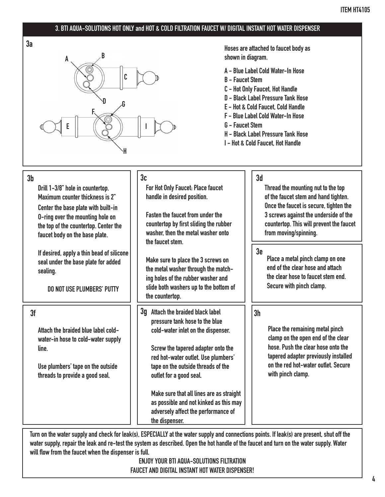### **3. BTI AQUA-SOLUTIONS HOT ONLY and HOT & COLD FILTRATION FAUCET W/ DIGITAL INSTANT HOT WATER DISPENSER**





**shown in diagram.**

- **A Blue Label Cold Water-In Hose**
- **B Faucet Stem**
- **C Hot Only Faucet, Hot Handle**
- **D Black Label Pressure Tank Hose**
- **E Hot & Cold Faucet, Cold Handle**
- **F Blue Label Cold Water-In Hose**
- **G Faucet Stem**
- **H Black Label Pressure Tank Hose**
- **I Hot & Cold Faucet, Hot Handle**

| 3 <sub>b</sub><br>Drill 1-3/8" hole in countertop.<br>Maximum counter thickness is 2"<br>Center the base plate with built-in<br>0-ring over the mounting hole on<br>the top of the countertop. Center the<br>faucet body on the base plate. | 3 <sub>c</sub><br>For Hot Only Faucet: Place faucet<br>handle in desired position.<br><b>Fasten the faucet from under the</b><br>countertop by first sliding the rubber<br>washer, then the metal washer onto<br>the faucet stem.                                                                                                                                                                      | 3d<br>Thread the mounting nut to the top<br>of the faucet stem and hand tighten.<br>Once the faucet is secure, tighten the<br>3 screws against the underside of the<br>countertop. This will prevent the faucet<br>from moving/spinning. |
|---------------------------------------------------------------------------------------------------------------------------------------------------------------------------------------------------------------------------------------------|--------------------------------------------------------------------------------------------------------------------------------------------------------------------------------------------------------------------------------------------------------------------------------------------------------------------------------------------------------------------------------------------------------|------------------------------------------------------------------------------------------------------------------------------------------------------------------------------------------------------------------------------------------|
| If desired, apply a thin bead of silicone<br>seal under the base plate for added<br>sealing.<br><b>DO NOT USE PLUMBERS' PUTTY</b>                                                                                                           | Make sure to place the 3 screws on<br>the metal washer through the match-<br>ing holes of the rubber washer and<br>slide both washers up to the bottom of<br>the countertop.                                                                                                                                                                                                                           | 3e<br>Place a metal pinch clamp on one<br>end of the clear hose and attach<br>the clear hose to faucet stem end.<br>Secure with pinch clamp.                                                                                             |
| 3f<br>Attach the braided blue label cold-<br>water-in hose to cold-water supply<br>line.<br>Use plumbers' tape on the outside<br>threads to provide a good seal.                                                                            | 3q Attach the braided black label<br>pressure tank hose to the blue<br>cold-water inlet on the dispenser.<br>Screw the tapered adapter onto the<br>red hot-water outlet. Use plumbers'<br>tape on the outside threads of the<br>outlet for a good seal.<br>Make sure that all lines are as straight<br>as possible and not kinked as this may<br>adversely affect the performance of<br>the dispenser. | 3 <sub>h</sub><br>Place the remaining metal pinch<br>clamp on the open end of the clear<br>hose. Push the clear hose onto the<br>tapered adapter previously installed<br>on the red hot-water outlet. Secure<br>with pinch clamp.        |

**Turn on the water supply and check for leak(s), ESPECIALLY at the water supply and connections points. If leak(s) are present, shut off the water supply, repair the leak and re-test the system as described. Open the hot handle of the faucet and turn on the water supply. Water will flow from the faucet when the dispenser is full.**

> **ENJOY YOUR BTI AQUA-SOLUTIONS FILTRATION FAUCET AND DIGITAL INSTANT HOT WATER DISPENSER!**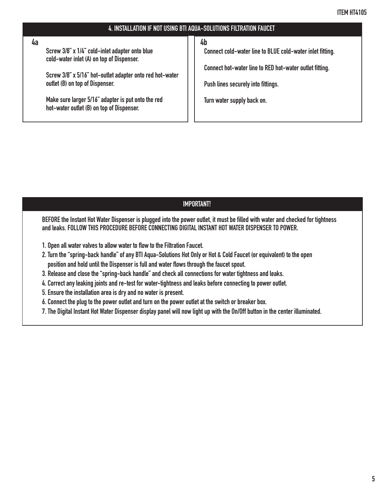**Screw 3/8" x 1/4" cold-inlet adapter onto blue cold-water inlet (A) on top of Dispenser. 4a 4b**

**Screw 3/8" x 5/16" hot-outlet adapter onto red hot-water outlet (B) on top of Dispenser.**

**Make sure larger 5/16" adapter is put onto the red hot-water outlet (B) on top of Dispenser.**

**Connect cold-water line to BLUE cold-water inlet fitting.** 

**Connect hot-water line to RED hot-water outlet fitting.** 

**Push lines securely into fittings.** 

**Turn water supply back on.** 

#### **IMPORTANT!**

**BEFORE the Instant Hot Water Dispenser is plugged into the power outlet, it must be filled with water and checked for tightness and leaks. FOLLOW THIS PROCEDURE BEFORE CONNECTING DIGITAL INSTANT HOT WATER DISPENSER TO POWER.**

- **1. Open all water valves to allow water to flow to the Filtration Faucet.**
- **2. Turn the "spring-back handle" of any BTI Aqua-Solutions Hot Only or Hot & Cold Faucet (or equivalent) to the open position and hold until the Dispenser is full and water flows through the faucet spout.**
- **3. Release and close the "spring-back handle" and check all connections for water tightness and leaks.**
- **4. Correct any leaking joints and re-test for water-tightness and leaks before connecting to power outlet.**
- **5. Ensure the installation area is dry and no water is present.**
- **6. Connect the plug to the power outlet and turn on the power outlet at the switch or breaker box.**
- **7. The Digital Instant Hot Water Dispenser display panel will now light up with the On/Off button in the center illuminated.**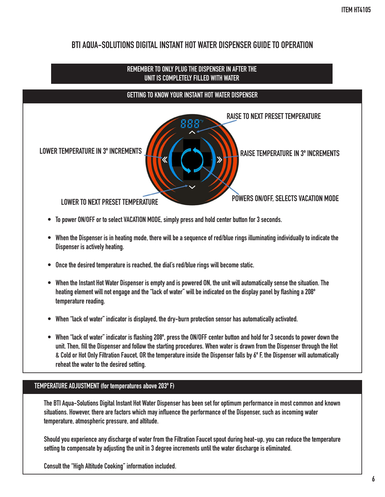# **BTI AQUA-SOLUTIONS DIGITAL INSTANT HOT WATER DISPENSER GUIDE TO OPERATION**



- **To power ON/OFF or to select VACATION MODE, simply press and hold center button for 3 seconds. •**
- **When the Dispenser is in heating mode, there will be a sequence of red/blue rings illuminating individually to indicate the • Dispenser is actively heating.**
- **Once the desired temperature is reached, the dial's red/blue rings will become static. •**
- **When the Instant Hot Water Dispenser is empty and is powered ON, the unit will automatically sense the situation. The • heating element will not engage and the "lack of water" will be indicated on the display panel by flashing a 208º temperature reading.**
- **When "lack of water" indicator is displayed, the dry-burn protection sensor has automatically activated. •**
- **When "lack of water" indicator is flashing 208º, press the ON/OFF center button and hold for 3 seconds to power down the • unit. Then, fill the Dispenser and follow the starting procedures. When water is drawn from the Dispenser through the Hot & Cold or Hot Only Filtration Faucet, OR the temperature inside the Dispenser falls by 6º F, the Dispenser will automatically reheat the water to the desired setting.**

#### **TEMPERATURE ADJUSTMENT (for temperatures above 203º F)**

**The BTI Aqua-Solutions Digital Instant Hot Water Dispenser has been set for optimum performance in most common and known situations. However, there are factors which may influence the performance of the Dispenser, such as incoming water temperature, atmospheric pressure, and altitude.** 

**Should you experience any discharge of water from the Filtration Faucet spout during heat-up, you can reduce the temperature setting to compensate by adjusting the unit in 3 degree increments until the water discharge is eliminated.** 

**Consult the "High Altitude Cooking" information included.**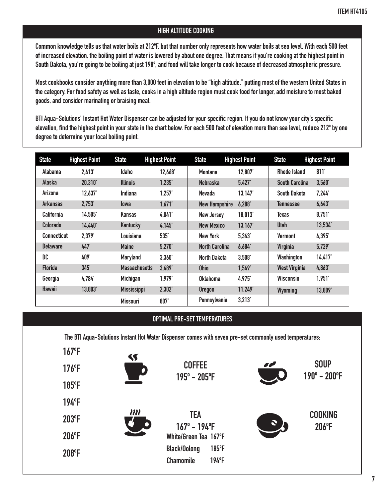#### **HIGH ALTITUDE COOKING**

**Common knowledge tells us that water boils at 212ºF, but that number only represents how water boils at sea level. With each 500 feet of increased elevation, the boiling point of water is lowered by about one degree. That means if you're cooking at the highest point in South Dakota, you're going to be boiling at just 198º, and food will take longer to cook because of decreased atmospheric pressure.**

**Most cookbooks consider anything more than 3,000 feet in elevation to be "high altitude," putting most of the western United States in the category. For food safety as well as taste, cooks in a high altitude region must cook food for longer, add moisture to most baked goods, and consider marinating or braising meat.** 

**BTI Aqua-Solutions' Instant Hot Water Dispenser can be adjusted for your specific region. If you do not know your city's specific elevation, find the highest point in your state in the chart below. For each 500 feet of elevation more than sea level, reduce 212º by one degree to determine your local boiling point.**

| <b>State</b>       | <b>Highest Point</b> | <b>State</b>         | <b>Highest Point</b> | <b>State</b>          | <b>Highest Point</b> | <b>State</b>          | <b>Highest Point</b> |
|--------------------|----------------------|----------------------|----------------------|-----------------------|----------------------|-----------------------|----------------------|
| Alabama            | 2,413'               | <b>Idaho</b>         | 12,668'              | <b>Montana</b>        | 12,807               | Rhode Island          | 811'                 |
| Alaska             | 20,310               | <b>Illinois</b>      | 1,235'               | <b>Nebraska</b>       | 5,427'               | <b>South Carolina</b> | 3,560'               |
| Arizona            | 12.637               | Indiana              | 1.257'               | <b>Nevada</b>         | 13.147               | <b>South Dakota</b>   | 7.244'               |
| <b>Arkansas</b>    | 2.753'               | <b>lowa</b>          | 1,671'               | <b>New Hampshire</b>  | 6,288'               | <b>Tennessee</b>      | 6,643'               |
| <b>California</b>  | 14,505'              | Kansas               | 4,041                | <b>New Jersey</b>     | 18,013'              | Texas                 | 8,751'               |
| Colorado           | 14,440'              | <b>Kentucky</b>      | 4,145                | <b>New Mexico</b>     | 13,167'              | <b>Utah</b>           | 13,534               |
| <b>Connecticut</b> | 2,379                | Louisiana            | 535                  | <b>New York</b>       | 5.343'               | <b>Vermont</b>        | 4.395                |
| <b>Delaware</b>    | 447                  | <b>Maine</b>         | 5.270'               | <b>North Carolina</b> | 6,684                | Virginia              | 5,729                |
| DC                 | 409'                 | <b>Maryland</b>      | 3,360'               | North Dakota          | 3,508'               | Washington            | 14,417               |
| <b>Florida</b>     | 345'                 | <b>Massachusetts</b> | 3,489                | <b>Ohio</b>           | 1,549                | <b>West Virginia</b>  | 4,863                |
| Georgia            | 4.784                | Michigan             | 1.979'               | Oklahoma              | 4.975                | <b>Wisconsin</b>      | 1,951'               |
| <b>Hawaii</b>      | 13,803'              | <b>Mississippi</b>   | 2,302'               | <b>Oregon</b>         | 11,249               | <b>Wyoming</b>        | 13,809               |
|                    |                      | <b>Missouri</b>      | 807                  | Pennsylvania          | 3,213'               |                       |                      |

#### **OPTIMAL PRE-SET TEMPERATURES**

**The BTI Aqua-Solutions Instant Hot Water Dispenser comes with seven pre-set commonly used temperatures:**

**167ºF**

**176ºF**

**185ºF**

**194ºF**

**203ºF**

**206ºF**

**208ºF**



**COFFEE 195º - 205ºF**

**TEA 167º - 194ºF White/Green Tea 167ºF Black/Oolong 185ºF Chamomile 194ºF**



**SOUP 190º - 200ºF**